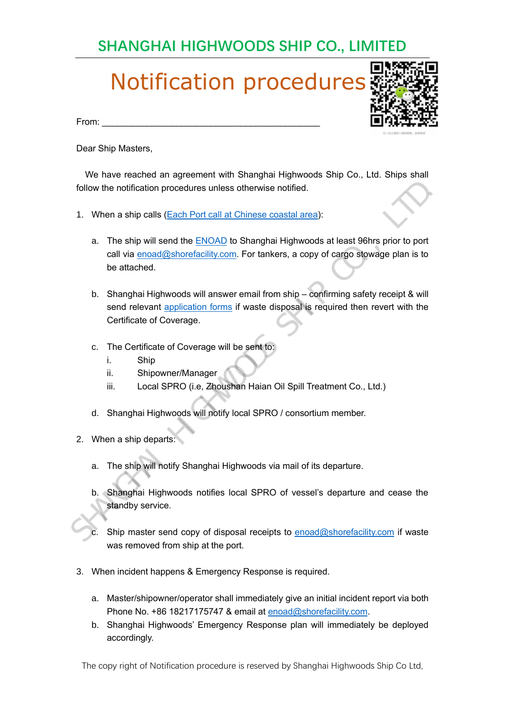### **SHANGHAI HIGHWOODS SHIP CO., LIMITED**

## Notification procedures

From: \_\_\_\_\_\_\_\_\_\_\_\_\_\_\_\_\_\_\_\_\_\_\_\_\_\_\_\_\_\_\_\_\_\_\_\_\_\_\_\_\_\_\_\_

Dear Ship Masters,

 We have reached an agreement with Shanghai Highwoods Ship Co., Ltd. Ships shall follow the notification procedures unless otherwise notified.

- 1. When a ship calls (Each Port call at Chinese coastal area):
	- a. The ship will send the **ENOAD** to Shanghai Highwoods at least 96hrs prior to port call via enoad@shorefacility.com. For tankers, a copy of cargo stowage plan is to be attached.
- b. Shanghai Highwoods will answer email from ship confirming safety receipt & will send relevant application forms if waste disposal is required then revert with the Certificate of Coverage. follow the notification procedures unless otherwise notified.<br>
1. When a ship calls (Each Port call at Chinese coastal area):<br>
a. The ship will send the <u>ENOAD</u> to Shanghai Highwoods at least 96hrs prior to port<br>
call via
	- c. The Certificate of Coverage will be sent to:
		- i. Ship
		- ii. Shipowner/Manager
		- iii. Local SPRO (i.e, Zhoushan Haian Oil Spill Treatment Co., Ltd.)
	- d. Shanghai Highwoods will notify local SPRO / consortium member.
	- 2. When a ship departs:
		- a. The ship will notify Shanghai Highwoods via mail of its departure.
		- b. Shanghai Highwoods notifies local SPRO of vessel's departure and cease the standby service.

Ship master send copy of disposal receipts to enoad@shorefacility.com if waste was removed from ship at the port.

- 3. When incident happens & Emergency Response is required.
	- a. Master/shipowner/operator shall immediately give an initial incident report via both Phone No. +86 18217175747 & email at enoad@shorefacility.com.
	- b. Shanghai Highwoods' Emergency Response plan will immediately be deployed accordingly.

The copy right of Notification procedure is reserved by Shanghai Highwoods Ship Co Ltd,

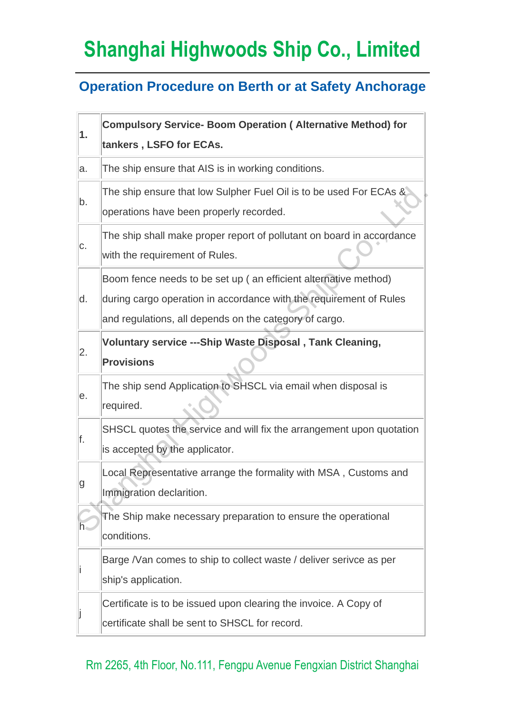# **Shanghai Highwoods Ship Co., Limited**

#### **Operation Procedure on Berth or at Safety Anchorage**

| 1. | <b>Compulsory Service- Boom Operation ( Alternative Method) for</b><br>tankers, LSFO for ECAs.                                                                                                  |
|----|-------------------------------------------------------------------------------------------------------------------------------------------------------------------------------------------------|
| a. | The ship ensure that AIS is in working conditions.                                                                                                                                              |
| b. | The ship ensure that low Sulpher Fuel Oil is to be used For ECAs &<br>operations have been properly recorded.                                                                                   |
| C. | The ship shall make proper report of pollutant on board in accordance<br>with the requirement of Rules.                                                                                         |
| d. | Boom fence needs to be set up (an efficient alternative method)<br>during cargo operation in accordance with the requirement of Rules<br>and regulations, all depends on the category of cargo. |
| 2. | Voluntary service ---Ship Waste Disposal, Tank Cleaning,<br><b>Provisions</b>                                                                                                                   |
| е. | The ship send Application to SHSCL via email when disposal is<br>required.                                                                                                                      |
| f. | SHSCL quotes the service and will fix the arrangement upon quotation<br>is accepted by the applicator.                                                                                          |
| g  | Local Representative arrange the formality with MSA, Customs and<br>Immigration declarition.                                                                                                    |
| h٠ | The Ship make necessary preparation to ensure the operational<br>conditions.                                                                                                                    |
|    | Barge /Van comes to ship to collect waste / deliver serivce as per<br>ship's application.                                                                                                       |
|    | Certificate is to be issued upon clearing the invoice. A Copy of<br>certificate shall be sent to SHSCL for record.                                                                              |

#### Rm 2265, 4th Floor, No.111, Fengpu Avenue Fengxian District Shanghai